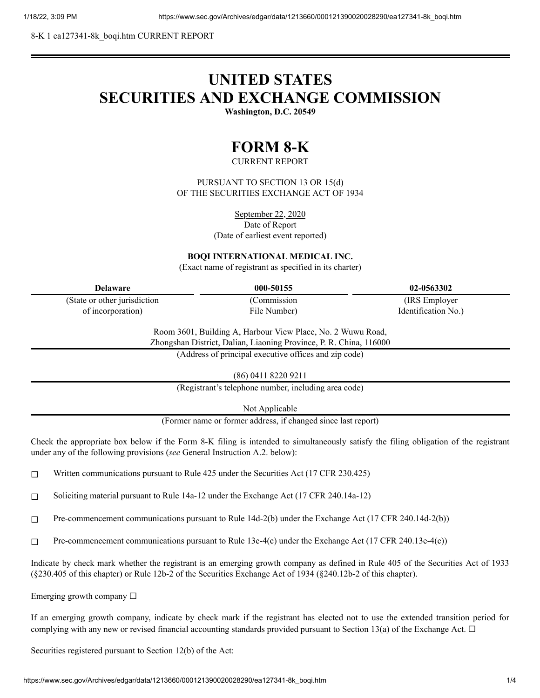8-K 1 ea127341-8k\_boqi.htm CURRENT REPORT

# **UNITED STATES SECURITIES AND EXCHANGE COMMISSION**

**Washington, D.C. 20549**

# **FORM 8-K**

CURRENT REPORT

PURSUANT TO SECTION 13 OR 15(d) OF THE SECURITIES EXCHANGE ACT OF 1934

September 22, 2020

Date of Report

(Date of earliest event reported)

## **BOQI INTERNATIONAL MEDICAL INC.**

(Exact name of registrant as specified in its charter)

| Delaware                      | 000-50155    | 02-0563302          |
|-------------------------------|--------------|---------------------|
| (State or other jurisdiction) | Commission   | (IRS Employer)      |
| of incorporation)             | File Number) | Identification No.) |

Room 3601, Building A, Harbour View Place, No. 2 Wuwu Road, Zhongshan District, Dalian, Liaoning Province, P. R. China, 116000

(Address of principal executive offices and zip code)

(86) 0411 8220 9211

(Registrant's telephone number, including area code)

Not Applicable

(Former name or former address, if changed since last report)

Check the appropriate box below if the Form 8-K filing is intended to simultaneously satisfy the filing obligation of the registrant under any of the following provisions (*see* General Instruction A.2. below):

 $\Box$  Written communications pursuant to Rule 425 under the Securities Act (17 CFR 230.425)

☐ Soliciting material pursuant to Rule 14a-12 under the Exchange Act (17 CFR 240.14a-12)

☐ Pre-commencement communications pursuant to Rule 14d-2(b) under the Exchange Act (17 CFR 240.14d-2(b))

☐ Pre-commencement communications pursuant to Rule 13e-4(c) under the Exchange Act (17 CFR 240.13e-4(c))

Indicate by check mark whether the registrant is an emerging growth company as defined in Rule 405 of the Securities Act of 1933 (§230.405 of this chapter) or Rule 12b-2 of the Securities Exchange Act of 1934 (§240.12b-2 of this chapter).

Emerging growth company  $\Box$ 

If an emerging growth company, indicate by check mark if the registrant has elected not to use the extended transition period for complying with any new or revised financial accounting standards provided pursuant to Section 13(a) of the Exchange Act.  $\Box$ 

Securities registered pursuant to Section 12(b) of the Act: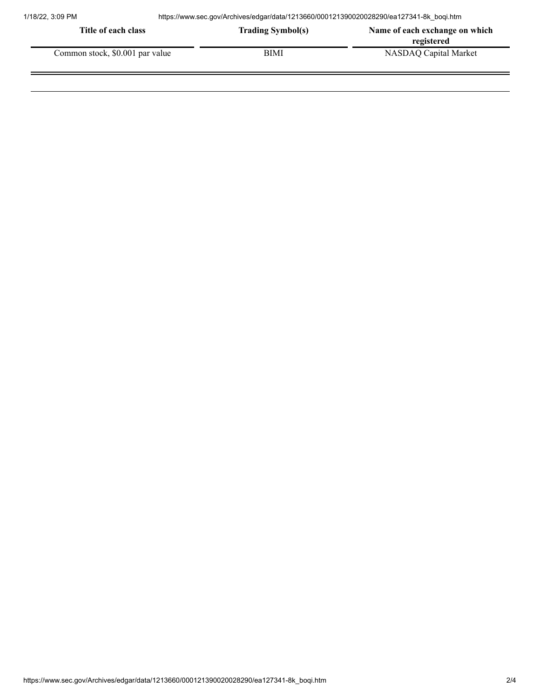| Title of each class             | <b>Trading Symbol(s)</b> | Name of each exchange on which<br>registered |
|---------------------------------|--------------------------|----------------------------------------------|
| Common stock, \$0.001 par value | BIMI                     | NASDAQ Capital Market                        |

 $\overline{\phantom{0}}$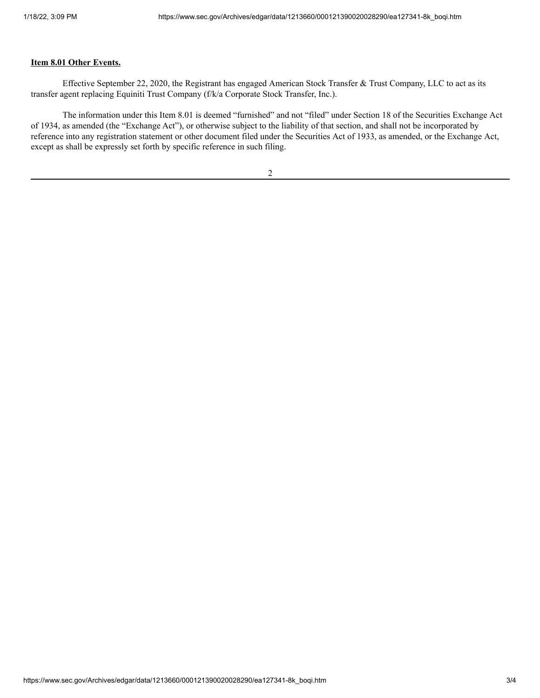### **Item 8.01 Other Events.**

Effective September 22, 2020, the Registrant has engaged American Stock Transfer & Trust Company, LLC to act as its transfer agent replacing Equiniti Trust Company (f/k/a Corporate Stock Transfer, Inc.).

The information under this Item 8.01 is deemed "furnished" and not "filed" under Section 18 of the Securities Exchange Act of 1934, as amended (the "Exchange Act"), or otherwise subject to the liability of that section, and shall not be incorporated by reference into any registration statement or other document filed under the Securities Act of 1933, as amended, or the Exchange Act, except as shall be expressly set forth by specific reference in such filing.